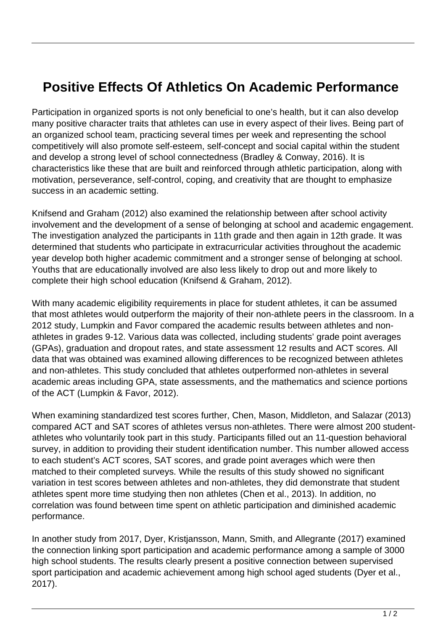## **Positive Effects Of Athletics On Academic Performance**

Participation in organized sports is not only beneficial to one's health, but it can also develop many positive character traits that athletes can use in every aspect of their lives. Being part of an organized school team, practicing several times per week and representing the school competitively will also promote self-esteem, self-concept and social capital within the student and develop a strong level of school connectedness (Bradley & Conway, 2016). It is characteristics like these that are built and reinforced through athletic participation, along with motivation, perseverance, self-control, coping, and creativity that are thought to emphasize success in an academic setting.

Knifsend and Graham (2012) also examined the relationship between after school activity involvement and the development of a sense of belonging at school and academic engagement. The investigation analyzed the participants in 11th grade and then again in 12th grade. It was determined that students who participate in extracurricular activities throughout the academic year develop both higher academic commitment and a stronger sense of belonging at school. Youths that are educationally involved are also less likely to drop out and more likely to complete their high school education (Knifsend & Graham, 2012).

With many academic eligibility requirements in place for student athletes, it can be assumed that most athletes would outperform the majority of their non-athlete peers in the classroom. In a 2012 study, Lumpkin and Favor compared the academic results between athletes and nonathletes in grades 9-12. Various data was collected, including students' grade point averages (GPAs), graduation and dropout rates, and state assessment 12 results and ACT scores. All data that was obtained was examined allowing differences to be recognized between athletes and non-athletes. This study concluded that athletes outperformed non-athletes in several academic areas including GPA, state assessments, and the mathematics and science portions of the ACT (Lumpkin & Favor, 2012).

When examining standardized test scores further, Chen, Mason, Middleton, and Salazar (2013) compared ACT and SAT scores of athletes versus non-athletes. There were almost 200 studentathletes who voluntarily took part in this study. Participants filled out an 11-question behavioral survey, in addition to providing their student identification number. This number allowed access to each student's ACT scores, SAT scores, and grade point averages which were then matched to their completed surveys. While the results of this study showed no significant variation in test scores between athletes and non-athletes, they did demonstrate that student athletes spent more time studying then non athletes (Chen et al., 2013). In addition, no correlation was found between time spent on athletic participation and diminished academic performance.

In another study from 2017, Dyer, Kristjansson, Mann, Smith, and Allegrante (2017) examined the connection linking sport participation and academic performance among a sample of 3000 high school students. The results clearly present a positive connection between supervised sport participation and academic achievement among high school aged students (Dyer et al., 2017).